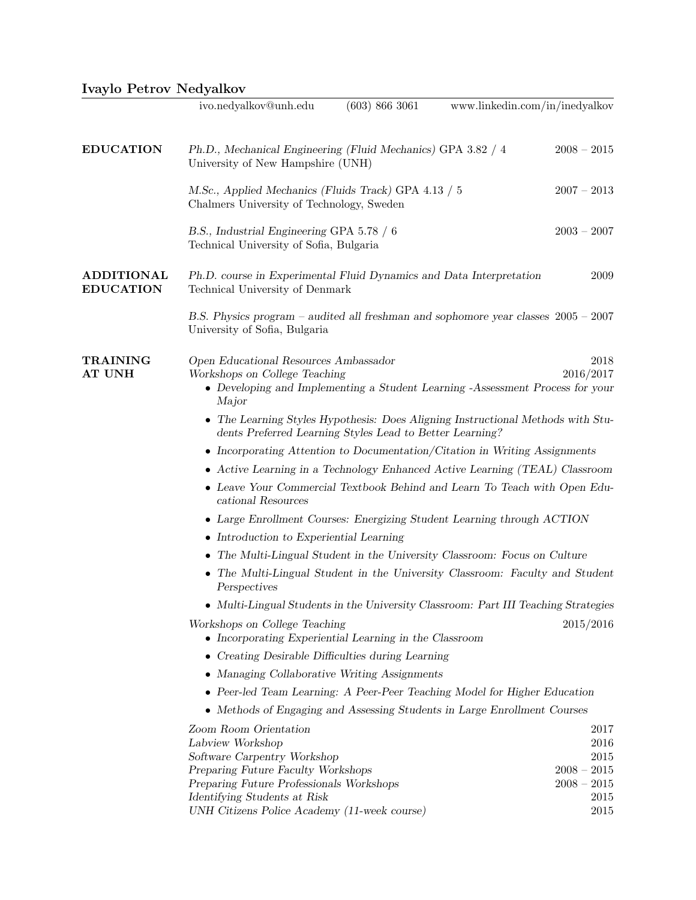|  | Ivaylo Petrov Nedyalkov |
|--|-------------------------|
|  |                         |

|                                       | ivo.nedyalkov@unh.edu                                                                                                                                            | (603) 866 3061 | www.linkedin.com/in/inedyalkov |               |                   |
|---------------------------------------|------------------------------------------------------------------------------------------------------------------------------------------------------------------|----------------|--------------------------------|---------------|-------------------|
| <b>EDUCATION</b>                      | Ph.D., Mechanical Engineering (Fluid Mechanics) GPA 3.82 / 4<br>University of New Hampshire (UNH)                                                                |                |                                | $2008 - 2015$ |                   |
|                                       | M.Sc., Applied Mechanics (Fluids Track) GPA 4.13 / 5<br>Chalmers University of Technology, Sweden                                                                |                |                                | $2007 - 2013$ |                   |
|                                       | B.S., Industrial Engineering GPA 5.78 / 6<br>Technical University of Sofia, Bulgaria                                                                             |                |                                | $2003 - 2007$ |                   |
| <b>ADDITIONAL</b><br><b>EDUCATION</b> | Ph.D. course in Experimental Fluid Dynamics and Data Interpretation<br>Technical University of Denmark                                                           |                |                                |               | 2009              |
|                                       | B.S. Physics program – audited all freshman and sophomore year classes $2005 - 2007$<br>University of Sofia, Bulgaria                                            |                |                                |               |                   |
| <b>TRAINING</b><br><b>AT UNH</b>      | Open Educational Resources Ambassador<br>Workshops on College Teaching<br>• Developing and Implementing a Student Learning -Assessment Process for your<br>Major |                |                                |               | 2018<br>2016/2017 |
|                                       | • The Learning Styles Hypothesis: Does Aligning Instructional Methods with Stu-<br>dents Preferred Learning Styles Lead to Better Learning?                      |                |                                |               |                   |
|                                       |                                                                                                                                                                  |                |                                |               |                   |
|                                       | • Incorporating Attention to Documentation/Citation in Writing Assignments<br>• Active Learning in a Technology Enhanced Active Learning (TEAL) Classroom        |                |                                |               |                   |
|                                       | • Leave Your Commercial Textbook Behind and Learn To Teach with Open Edu-<br>cational Resources                                                                  |                |                                |               |                   |
|                                       | • Large Enrollment Courses: Energizing Student Learning through ACTION                                                                                           |                |                                |               |                   |
|                                       | $\bullet$ Introduction to Experiential Learning                                                                                                                  |                |                                |               |                   |
|                                       | • The Multi-Lingual Student in the University Classroom: Focus on Culture                                                                                        |                |                                |               |                   |
|                                       | • The Multi-Lingual Student in the University Classroom: Faculty and Student<br>Perspectives                                                                     |                |                                |               |                   |
|                                       | • Multi-Lingual Students in the University Classroom: Part III Teaching Strategies                                                                               |                |                                |               |                   |
|                                       | Workshops on College Teaching                                                                                                                                    |                |                                |               | 2015/2016         |
|                                       | • Incorporating Experiential Learning in the Classroom                                                                                                           |                |                                |               |                   |
|                                       | • Creating Desirable Difficulties during Learning                                                                                                                |                |                                |               |                   |
|                                       | • Managing Collaborative Writing Assignments                                                                                                                     |                |                                |               |                   |
|                                       | • Peer-led Team Learning: A Peer-Peer Teaching Model for Higher Education                                                                                        |                |                                |               |                   |
|                                       | • Methods of Engaging and Assessing Students in Large Enrollment Courses                                                                                         |                |                                |               |                   |
|                                       | Zoom Room Orientation                                                                                                                                            |                |                                |               | 2017              |
|                                       | Labview Workshop                                                                                                                                                 |                |                                |               | 2016              |
|                                       | Software Carpentry Workshop                                                                                                                                      |                |                                |               | 2015              |
|                                       | Preparing Future Faculty Workshops                                                                                                                               |                |                                | $2008 - 2015$ |                   |
|                                       | Preparing Future Professionals Workshops<br>Identifying Students at Risk                                                                                         |                |                                | $2008 - 2015$ | 2015              |
|                                       | UNH Citizens Police Academy (11-week course)                                                                                                                     |                |                                |               | 2015              |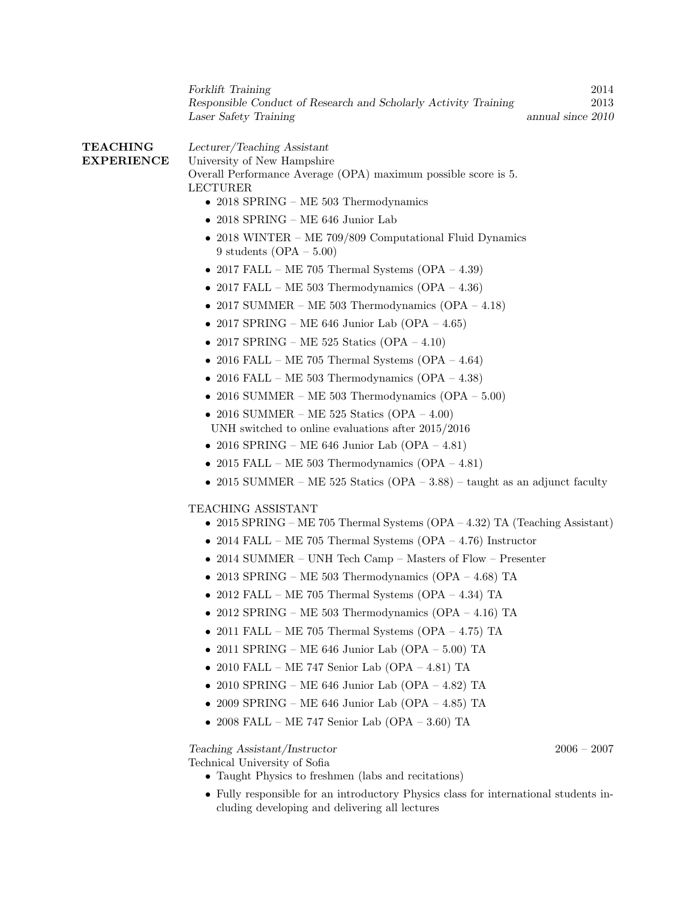Forklift Training 2014 Responsible Conduct of Research and Scholarly Activity Training 2013 Laser Safety Training annual since 2010

TEACHING EXPERIENCE Lecturer/Teaching Assistant University of New Hampshire Overall Performance Average (OPA) maximum possible score is 5. LECTURER

- 2018 SPRING ME 503 Thermodynamics
- 2018 SPRING ME 646 Junior Lab
- 2018 WINTER ME 709/809 Computational Fluid Dynamics 9 students  $(OPA - 5.00)$
- 2017 FALL ME 705 Thermal Systems  $(OPA 4.39)$
- 2017 FALL ME 503 Thermodynamics  $(OPA 4.36)$
- 2017 SUMMER ME 503 Thermodynamics  $(OPA 4.18)$
- 2017 SPRING ME 646 Junior Lab (OPA 4.65)
- 2017 SPRING ME 525 Statics  $(OPA 4.10)$
- 2016 FALL ME 705 Thermal Systems  $(OPA 4.64)$
- 2016 FALL ME 503 Thermodynamics  $(OPA 4.38)$
- 2016 SUMMER ME 503 Thermodynamics  $OPA 5.00$
- 2016 SUMMER ME 525 Statics  $(OPA 4.00)$ UNH switched to online evaluations after 2015/2016
- 2016 SPRING ME 646 Junior Lab (OPA 4.81)
- 2015 FALL ME 503 Thermodynamics  $(OPA 4.81)$
- 2015 SUMMER ME 525 Statics (OPA 3.88) taught as an adjunct faculty

# TEACHING ASSISTANT

- 2015 SPRING ME 705 Thermal Systems (OPA 4.32) TA (Teaching Assistant)
- 2014 FALL ME 705 Thermal Systems  $(OPA 4.76)$  Instructor
- 2014 SUMMER UNH Tech Camp Masters of Flow Presenter
- 2013 SPRING ME 503 Thermodynamics  $(OPA 4.68)$  TA
- 2012 FALL ME 705 Thermal Systems (OPA 4.34) TA
- 2012 SPRING ME 503 Thermodynamics (OPA 4.16) TA
- $\bullet$  2011 FALL ME 705 Thermal Systems (OPA 4.75) TA
- $\bullet$  2011 SPRING ME 646 Junior Lab (OPA 5.00) TA
- 2010 FALL ME 747 Senior Lab (OPA 4.81) TA
- 2010 SPRING ME 646 Junior Lab (OPA 4.82) TA
- 2009 SPRING ME 646 Junior Lab (OPA 4.85) TA
- $\bullet$  2008 FALL ME 747 Senior Lab (OPA 3.60) TA

Teaching Assistant/Instructor 2006 – 2007

Technical University of Sofia

- Taught Physics to freshmen (labs and recitations)
- Fully responsible for an introductory Physics class for international students including developing and delivering all lectures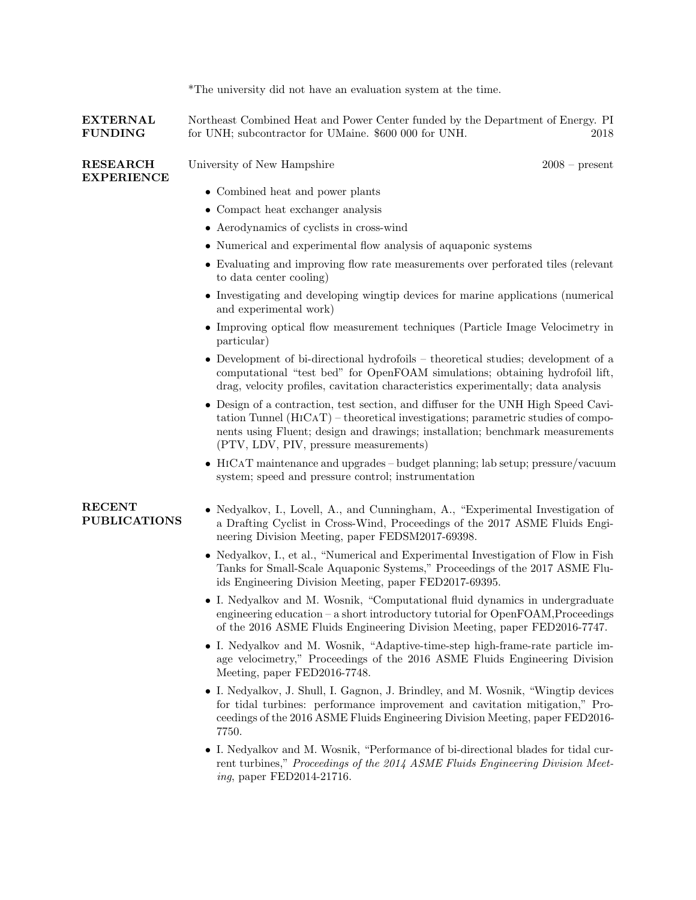|                                      | *The university did not have an evaluation system at the time.                                                                                                                                                                                                                                        |  |
|--------------------------------------|-------------------------------------------------------------------------------------------------------------------------------------------------------------------------------------------------------------------------------------------------------------------------------------------------------|--|
| <b>EXTERNAL</b><br><b>FUNDING</b>    | Northeast Combined Heat and Power Center funded by the Department of Energy. PI<br>for UNH; subcontractor for UMaine. \$600 000 for UNH.<br>2018                                                                                                                                                      |  |
| <b>RESEARCH</b><br><b>EXPERIENCE</b> | University of New Hampshire<br>$2008$ – present                                                                                                                                                                                                                                                       |  |
|                                      | • Combined heat and power plants                                                                                                                                                                                                                                                                      |  |
|                                      | • Compact heat exchanger analysis                                                                                                                                                                                                                                                                     |  |
|                                      | • Aerodynamics of cyclists in cross-wind                                                                                                                                                                                                                                                              |  |
|                                      | • Numerical and experimental flow analysis of aquaponic systems                                                                                                                                                                                                                                       |  |
|                                      | • Evaluating and improving flow rate measurements over perforated tiles (relevant<br>to data center cooling)                                                                                                                                                                                          |  |
|                                      | • Investigating and developing wingtip devices for marine applications (numerical<br>and experimental work)                                                                                                                                                                                           |  |
|                                      | • Improving optical flow measurement techniques (Particle Image Velocimetry in<br>particular)                                                                                                                                                                                                         |  |
|                                      | • Development of bi-directional hydrofoils – theoretical studies; development of a<br>computational "test bed" for OpenFOAM simulations; obtaining hydrofoil lift,<br>drag, velocity profiles, cavitation characteristics experimentally; data analysis                                               |  |
|                                      | • Design of a contraction, test section, and diffuser for the UNH High Speed Cavi-<br>$tation$ Tunnel $(HICAT)$ – theoretical investigations; parametric studies of compo-<br>nents using Fluent; design and drawings; installation; benchmark measurements<br>(PTV, LDV, PIV, pressure measurements) |  |
|                                      | • HICAT maintenance and upgrades – budget planning; lab setup; pressure/vacuum<br>system; speed and pressure control; instrumentation                                                                                                                                                                 |  |
| <b>RECENT</b><br><b>PUBLICATIONS</b> | • Nedyalkov, I., Lovell, A., and Cunningham, A., "Experimental Investigation of<br>a Drafting Cyclist in Cross-Wind, Proceedings of the 2017 ASME Fluids Engi-<br>neering Division Meeting, paper FEDSM2017-69398.                                                                                    |  |
|                                      | • Nedyalkov, I., et al., "Numerical and Experimental Investigation of Flow in Fish<br>Tanks for Small-Scale Aquaponic Systems," Proceedings of the 2017 ASME Flu-<br>ids Engineering Division Meeting, paper FED2017-69395.                                                                           |  |
|                                      | • I. Nedyalkov and M. Wosnik, "Computational fluid dynamics in undergraduate<br>engineering education $-$ a short introductory tutorial for $OpenFORM, Proceedings$<br>of the 2016 ASME Fluids Engineering Division Meeting, paper FED2016-7747.                                                      |  |
|                                      | • I. Nedyalkov and M. Wosnik, "Adaptive-time-step high-frame-rate particle im-<br>age velocimetry," Proceedings of the 2016 ASME Fluids Engineering Division<br>Meeting, paper FED2016-7748.                                                                                                          |  |
|                                      | • I. Nedyalkov, J. Shull, I. Gagnon, J. Brindley, and M. Wosnik, "Wingtip devices<br>for tidal turbines: performance improvement and cavitation mitigation," Pro-<br>ceedings of the 2016 ASME Fluids Engineering Division Meeting, paper FED2016-<br>7750.                                           |  |
|                                      | I. Nedyalkov and M. Wosnik, "Performance of bi-directional blades for tidal cur-<br>rent turbines," Proceedings of the 2014 ASME Fluids Engineering Division Meet-<br>ing, paper FED2014-21716.                                                                                                       |  |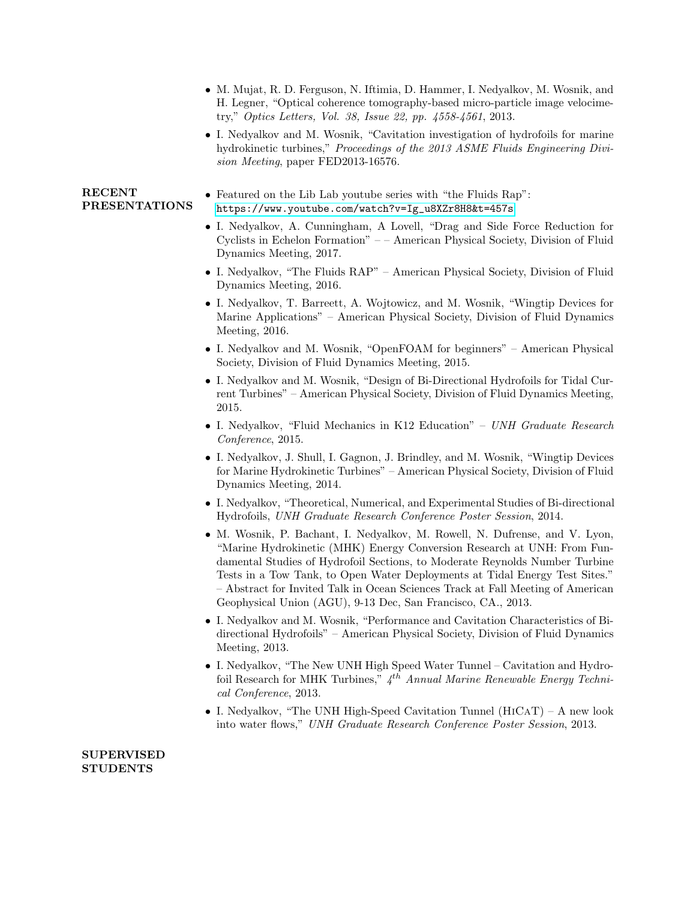- M. Mujat, R. D. Ferguson, N. Iftimia, D. Hammer, I. Nedyalkov, M. Wosnik, and H. Legner, "Optical coherence tomography-based micro-particle image velocimetry," Optics Letters, Vol. 38, Issue 22, pp. 4558-4561, 2013.
	- I. Nedyalkov and M. Wosnik, "Cavitation investigation of hydrofoils for marine hydrokinetic turbines," Proceedings of the 2013 ASME Fluids Engineering Division Meeting, paper FED2013-16576.

#### RECENT PRESENTATIONS • Featured on the Lib Lab youtube series with "the Fluids Rap": [https://www.youtube.com/watch?v=Ig\\_u8XZr8H8&t=457s](https://www.youtube.com/watch?v=Ig_u8XZr8H8&t=457s)

- I. Nedyalkov, A. Cunningham, A Lovell, "Drag and Side Force Reduction for Cyclists in Echelon Formation" – – American Physical Society, Division of Fluid Dynamics Meeting, 2017.
- I. Nedyalkov, "The Fluids RAP" American Physical Society, Division of Fluid Dynamics Meeting, 2016.
- I. Nedyalkov, T. Barreett, A. Wojtowicz, and M. Wosnik, "Wingtip Devices for Marine Applications" – American Physical Society, Division of Fluid Dynamics Meeting, 2016.
- I. Nedyalkov and M. Wosnik, "OpenFOAM for beginners" American Physical Society, Division of Fluid Dynamics Meeting, 2015.
- I. Nedyalkov and M. Wosnik, "Design of Bi-Directional Hydrofoils for Tidal Current Turbines" – American Physical Society, Division of Fluid Dynamics Meeting, 2015.
- I. Nedyalkov, "Fluid Mechanics in K12 Education" UNH Graduate Research Conference, 2015.
- I. Nedyalkov, J. Shull, I. Gagnon, J. Brindley, and M. Wosnik, "Wingtip Devices for Marine Hydrokinetic Turbines" – American Physical Society, Division of Fluid Dynamics Meeting, 2014.
- I. Nedyalkov, "Theoretical, Numerical, and Experimental Studies of Bi-directional Hydrofoils, UNH Graduate Research Conference Poster Session, 2014.
- M. Wosnik, P. Bachant, I. Nedyalkov, M. Rowell, N. Dufrense, and V. Lyon, "Marine Hydrokinetic (MHK) Energy Conversion Research at UNH: From Fundamental Studies of Hydrofoil Sections, to Moderate Reynolds Number Turbine Tests in a Tow Tank, to Open Water Deployments at Tidal Energy Test Sites." – Abstract for Invited Talk in Ocean Sciences Track at Fall Meeting of American Geophysical Union (AGU), 9-13 Dec, San Francisco, CA., 2013.
- I. Nedyalkov and M. Wosnik, "Performance and Cavitation Characteristics of Bidirectional Hydrofoils" – American Physical Society, Division of Fluid Dynamics Meeting, 2013.
- I. Nedyalkov, "The New UNH High Speed Water Tunnel Cavitation and Hydrofoil Research for MHK Turbines,"  $4^{th}$  Annual Marine Renewable Energy Technical Conference, 2013.
- I. Nedyalkov, "The UNH High-Speed Cavitation Tunnel (HiCaT) A new look into water flows," UNH Graduate Research Conference Poster Session, 2013.

### SUPERVISED **STUDENTS**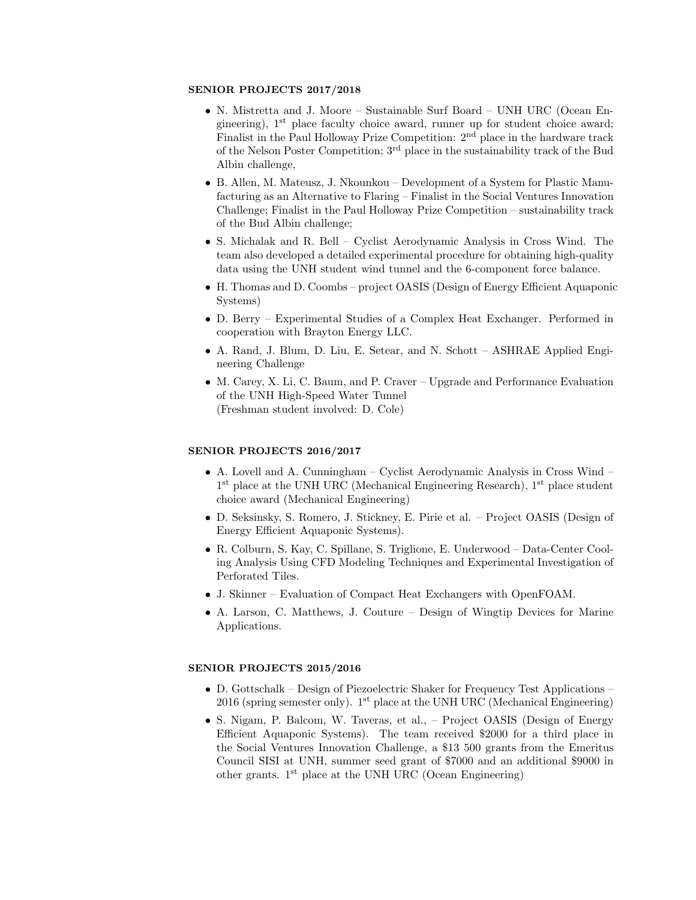#### SENIOR PROJECTS 2017/2018

- N. Mistretta and J. Moore Sustainable Surf Board UNH URC (Ocean Engineering), 1<sup>st</sup> place faculty choice award, runner up for student choice award; Finalist in the Paul Holloway Prize Competition: 2nd place in the hardware track of the Nelson Poster Competition; 3rd place in the sustainability track of the Bud Albin challenge,
- B. Allen, M. Mateusz, J. Nkounkou Development of a System for Plastic Manufacturing as an Alternative to Flaring – Finalist in the Social Ventures Innovation Challenge; Finalist in the Paul Holloway Prize Competition – sustainability track of the Bud Albin challenge;
- S. Michalak and R. Bell Cyclist Aerodynamic Analysis in Cross Wind. The team also developed a detailed experimental procedure for obtaining high-quality data using the UNH student wind tunnel and the 6-component force balance.
- H. Thomas and D. Coombs project OASIS (Design of Energy Efficient Aquaponic Systems)
- D. Berry Experimental Studies of a Complex Heat Exchanger. Performed in cooperation with Brayton Energy LLC.
- A. Rand, J. Blum, D. Liu, E. Setear, and N. Schott ASHRAE Applied Engineering Challenge
- M. Carey, X. Li, C. Baum, and P. Craver Upgrade and Performance Evaluation of the UNH High-Speed Water Tunnel (Freshman student involved: D. Cole)

#### SENIOR PROJECTS 2016/2017

- A. Lovell and A. Cunningham Cyclist Aerodynamic Analysis in Cross Wind 1<sup>st</sup> place at the UNH URC (Mechanical Engineering Research), 1<sup>st</sup> place student choice award (Mechanical Engineering)
- D. Seksinsky, S. Romero, J. Stickney, E. Pirie et al. Project OASIS (Design of Energy Efficient Aquaponic Systems).
- R. Colburn, S. Kay, C. Spillane, S. Triglione, E. Underwood Data-Center Cooling Analysis Using CFD Modeling Techniques and Experimental Investigation of Perforated Tiles.
- J. Skinner Evaluation of Compact Heat Exchangers with OpenFOAM.
- A. Larson, C. Matthews, J. Couture Design of Wingtip Devices for Marine Applications.

#### SENIOR PROJECTS 2015/2016

- D. Gottschalk Design of Piezoelectric Shaker for Frequency Test Applications 2016 (spring semester only). 1<sup>st</sup> place at the UNH URC (Mechanical Engineering)
- S. Nigam, P. Balcom, W. Taveras, et al., Project OASIS (Design of Energy Efficient Aquaponic Systems). The team received \$2000 for a third place in the Social Ventures Innovation Challenge, a \$13 500 grants from the Emeritus Council SISI at UNH, summer seed grant of \$7000 and an additional \$9000 in other grants.  $1<sup>st</sup>$  place at the UNH URC (Ocean Engineering)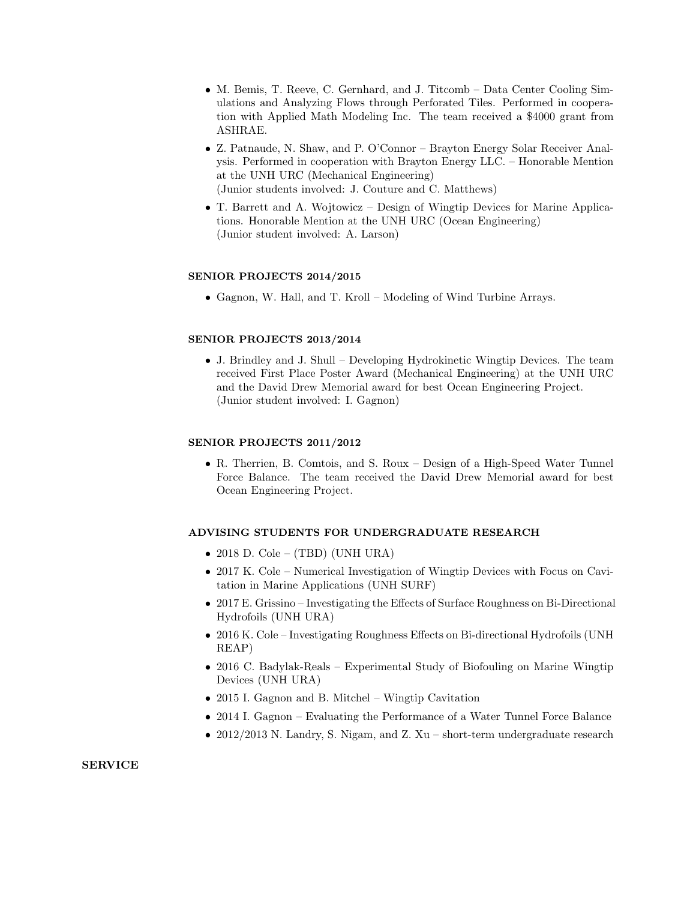- M. Bemis, T. Reeve, C. Gernhard, and J. Titcomb Data Center Cooling Simulations and Analyzing Flows through Perforated Tiles. Performed in cooperation with Applied Math Modeling Inc. The team received a \$4000 grant from ASHRAE.
- Z. Patnaude, N. Shaw, and P. O'Connor Brayton Energy Solar Receiver Analysis. Performed in cooperation with Brayton Energy LLC. – Honorable Mention at the UNH URC (Mechanical Engineering) (Junior students involved: J. Couture and C. Matthews)
- T. Barrett and A. Wojtowicz Design of Wingtip Devices for Marine Applications. Honorable Mention at the UNH URC (Ocean Engineering) (Junior student involved: A. Larson)

# SENIOR PROJECTS 2014/2015

• Gagnon, W. Hall, and T. Kroll – Modeling of Wind Turbine Arrays.

# SENIOR PROJECTS 2013/2014

• J. Brindley and J. Shull – Developing Hydrokinetic Wingtip Devices. The team received First Place Poster Award (Mechanical Engineering) at the UNH URC and the David Drew Memorial award for best Ocean Engineering Project. (Junior student involved: I. Gagnon)

#### SENIOR PROJECTS 2011/2012

• R. Therrien, B. Comtois, and S. Roux – Design of a High-Speed Water Tunnel Force Balance. The team received the David Drew Memorial award for best Ocean Engineering Project.

# ADVISING STUDENTS FOR UNDERGRADUATE RESEARCH

- 2018 D. Cole (TBD) (UNH URA)
- 2017 K. Cole Numerical Investigation of Wingtip Devices with Focus on Cavitation in Marine Applications (UNH SURF)
- 2017 E. Grissino Investigating the Effects of Surface Roughness on Bi-Directional Hydrofoils (UNH URA)
- 2016 K. Cole Investigating Roughness Effects on Bi-directional Hydrofoils (UNH REAP)
- 2016 C. Badylak-Reals Experimental Study of Biofouling on Marine Wingtip Devices (UNH URA)
- 2015 I. Gagnon and B. Mitchel Wingtip Cavitation
- 2014 I. Gagnon Evaluating the Performance of a Water Tunnel Force Balance
- 2012/2013 N. Landry, S. Nigam, and Z. Xu short-term undergraduate research

#### SERVICE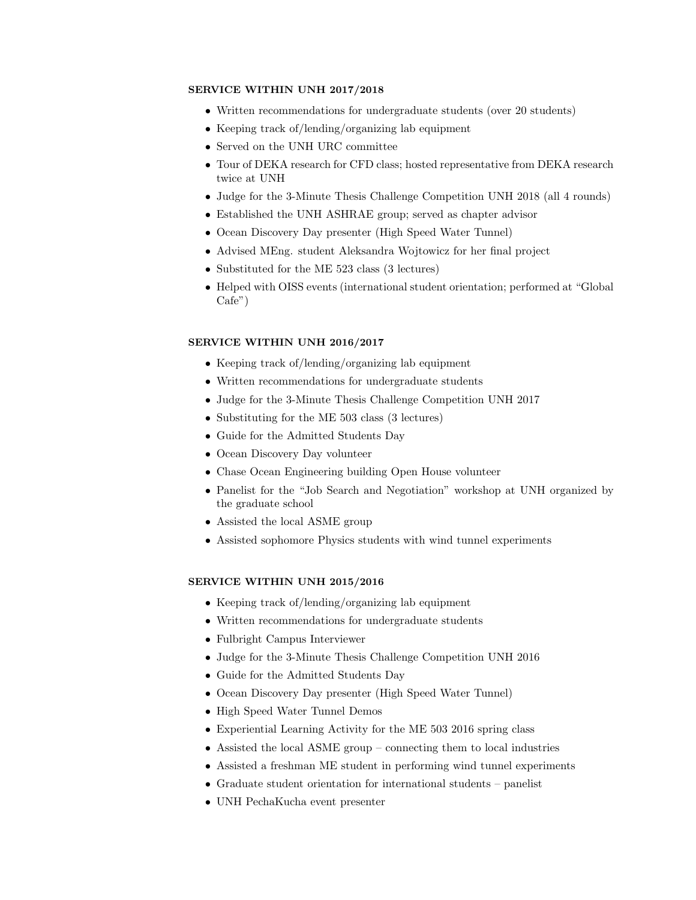#### SERVICE WITHIN UNH 2017/2018

- Written recommendations for undergraduate students (over 20 students)
- Keeping track of/lending/organizing lab equipment
- Served on the UNH URC committee
- Tour of DEKA research for CFD class; hosted representative from DEKA research twice at UNH
- Judge for the 3-Minute Thesis Challenge Competition UNH 2018 (all 4 rounds)
- Established the UNH ASHRAE group; served as chapter advisor
- Ocean Discovery Day presenter (High Speed Water Tunnel)
- Advised MEng. student Aleksandra Wojtowicz for her final project
- Substituted for the ME 523 class (3 lectures)
- Helped with OISS events (international student orientation; performed at "Global Cafe")

#### SERVICE WITHIN UNH 2016/2017

- Keeping track of/lending/organizing lab equipment
- Written recommendations for undergraduate students
- Judge for the 3-Minute Thesis Challenge Competition UNH 2017
- Substituting for the ME 503 class (3 lectures)
- Guide for the Admitted Students Day
- Ocean Discovery Day volunteer
- Chase Ocean Engineering building Open House volunteer
- Panelist for the "Job Search and Negotiation" workshop at UNH organized by the graduate school
- Assisted the local ASME group
- Assisted sophomore Physics students with wind tunnel experiments

#### SERVICE WITHIN UNH 2015/2016

- Keeping track of/lending/organizing lab equipment
- Written recommendations for undergraduate students
- Fulbright Campus Interviewer
- Judge for the 3-Minute Thesis Challenge Competition UNH 2016
- Guide for the Admitted Students Day
- Ocean Discovery Day presenter (High Speed Water Tunnel)
- High Speed Water Tunnel Demos
- Experiential Learning Activity for the ME 503 2016 spring class
- Assisted the local ASME group connecting them to local industries
- Assisted a freshman ME student in performing wind tunnel experiments
- Graduate student orientation for international students panelist
- UNH PechaKucha event presenter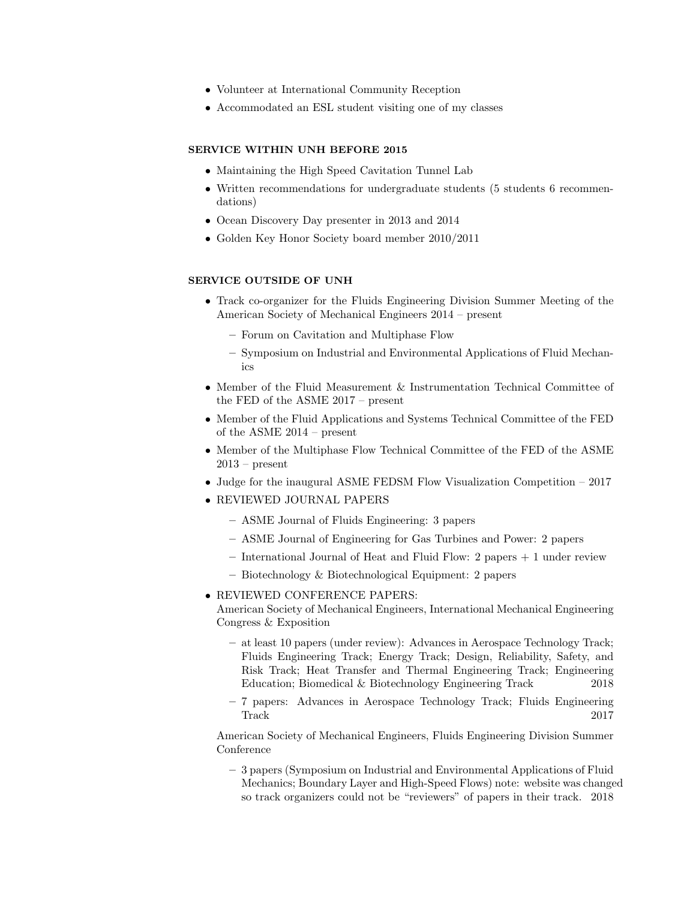- Volunteer at International Community Reception
- Accommodated an ESL student visiting one of my classes

# SERVICE WITHIN UNH BEFORE 2015

- Maintaining the High Speed Cavitation Tunnel Lab
- Written recommendations for undergraduate students (5 students 6 recommendations)
- Ocean Discovery Day presenter in 2013 and 2014
- Golden Key Honor Society board member 2010/2011

# SERVICE OUTSIDE OF UNH

- Track co-organizer for the Fluids Engineering Division Summer Meeting of the American Society of Mechanical Engineers 2014 – present
	- Forum on Cavitation and Multiphase Flow
	- Symposium on Industrial and Environmental Applications of Fluid Mechanics
- Member of the Fluid Measurement & Instrumentation Technical Committee of the FED of the ASME 2017 – present
- Member of the Fluid Applications and Systems Technical Committee of the FED of the ASME 2014 – present
- Member of the Multiphase Flow Technical Committee of the FED of the ASME  $2013$  – present
- Judge for the inaugural ASME FEDSM Flow Visualization Competition 2017
- REVIEWED JOURNAL PAPERS
	- ASME Journal of Fluids Engineering: 3 papers
	- ASME Journal of Engineering for Gas Turbines and Power: 2 papers
	- International Journal of Heat and Fluid Flow: 2 papers + 1 under review
	- Biotechnology & Biotechnological Equipment: 2 papers
- REVIEWED CONFERENCE PAPERS:

American Society of Mechanical Engineers, International Mechanical Engineering Congress & Exposition

- at least 10 papers (under review): Advances in Aerospace Technology Track; Fluids Engineering Track; Energy Track; Design, Reliability, Safety, and Risk Track; Heat Transfer and Thermal Engineering Track; Engineering Education; Biomedical & Biotechnology Engineering Track 2018
- 7 papers: Advances in Aerospace Technology Track; Fluids Engineering Track 2017

American Society of Mechanical Engineers, Fluids Engineering Division Summer Conference

– 3 papers (Symposium on Industrial and Environmental Applications of Fluid Mechanics; Boundary Layer and High-Speed Flows) note: website was changed so track organizers could not be "reviewers" of papers in their track. 2018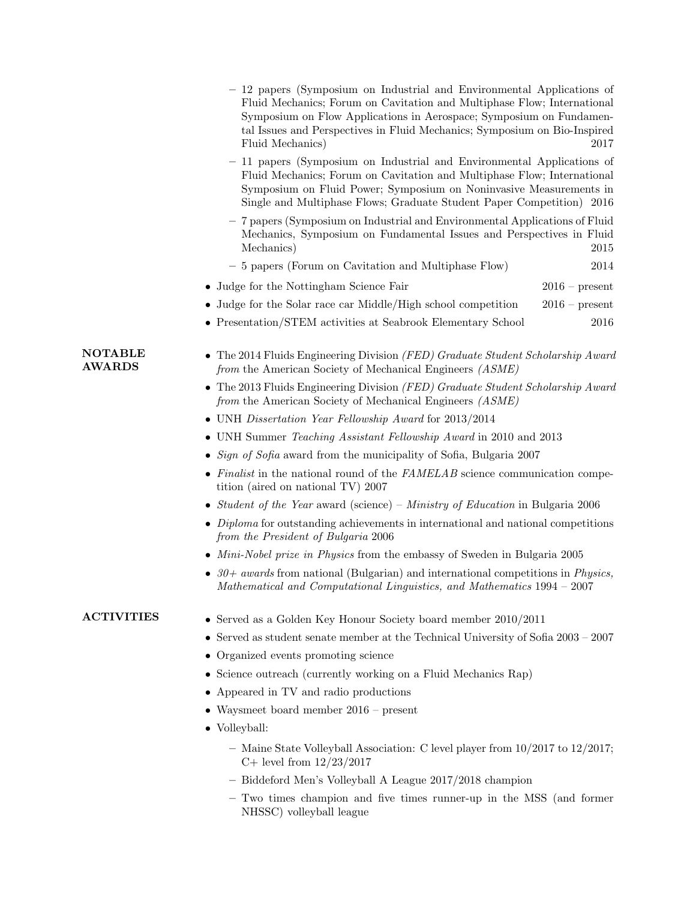|                                 | - 12 papers (Symposium on Industrial and Environmental Applications of<br>Fluid Mechanics; Forum on Cavitation and Multiphase Flow; International<br>Symposium on Flow Applications in Aerospace; Symposium on Fundamen-<br>tal Issues and Perspectives in Fluid Mechanics; Symposium on Bio-Inspired<br>Fluid Mechanics) | 2017             |  |
|---------------------------------|---------------------------------------------------------------------------------------------------------------------------------------------------------------------------------------------------------------------------------------------------------------------------------------------------------------------------|------------------|--|
|                                 | - 11 papers (Symposium on Industrial and Environmental Applications of<br>Fluid Mechanics; Forum on Cavitation and Multiphase Flow; International<br>Symposium on Fluid Power; Symposium on Noninvasive Measurements in<br>Single and Multiphase Flows; Graduate Student Paper Competition) 2016                          |                  |  |
|                                 | - 7 papers (Symposium on Industrial and Environmental Applications of Fluid<br>Mechanics, Symposium on Fundamental Issues and Perspectives in Fluid<br>Mechanics)                                                                                                                                                         | 2015             |  |
|                                 | - 5 papers (Forum on Cavitation and Multiphase Flow)                                                                                                                                                                                                                                                                      | 2014             |  |
|                                 | • Judge for the Nottingham Science Fair                                                                                                                                                                                                                                                                                   | $2016$ – present |  |
|                                 | Judge for the Solar race car Middle/High school competition                                                                                                                                                                                                                                                               | $2016$ – present |  |
|                                 | • Presentation/STEM activities at Seabrook Elementary School                                                                                                                                                                                                                                                              | 2016             |  |
| <b>NOTABLE</b><br><b>AWARDS</b> | • The 2014 Fluids Engineering Division <i>(FED)</i> Graduate Student Scholarship Award<br>from the American Society of Mechanical Engineers (ASME)                                                                                                                                                                        |                  |  |
|                                 | The 2013 Fluids Engineering Division (FED) Graduate Student Scholarship Award<br>from the American Society of Mechanical Engineers (ASME)                                                                                                                                                                                 |                  |  |
|                                 | • UNH Dissertation Year Fellowship Award for 2013/2014                                                                                                                                                                                                                                                                    |                  |  |
|                                 | UNH Summer Teaching Assistant Fellowship Award in 2010 and 2013<br>٠                                                                                                                                                                                                                                                      |                  |  |
|                                 | Sign of Sofia award from the municipality of Sofia, Bulgaria 2007                                                                                                                                                                                                                                                         |                  |  |
|                                 | • Finalist in the national round of the $FAMELAB$ science communication compe-<br>tition (aired on national TV) 2007                                                                                                                                                                                                      |                  |  |
|                                 | • Student of the Year award (science) – Ministry of Education in Bulgaria 2006                                                                                                                                                                                                                                            |                  |  |
|                                 | Diploma for outstanding achievements in international and national competitions<br>from the President of Bulgaria 2006                                                                                                                                                                                                    |                  |  |
|                                 | • Mini-Nobel prize in Physics from the embassy of Sweden in Bulgaria 2005                                                                                                                                                                                                                                                 |                  |  |
|                                 | • $30+$ awards from national (Bulgarian) and international competitions in <i>Physics</i> ,<br>Mathematical and Computational Linguistics, and Mathematics 1994 - 2007                                                                                                                                                    |                  |  |
| <b>ACTIVITIES</b>               | Served as a Golden Key Honour Society board member 2010/2011<br>٠                                                                                                                                                                                                                                                         |                  |  |
|                                 | Served as student senate member at the Technical University of Sofia $2003 - 2007$<br>٠                                                                                                                                                                                                                                   |                  |  |
|                                 | Organized events promoting science                                                                                                                                                                                                                                                                                        |                  |  |
|                                 | Science outreach (currently working on a Fluid Mechanics Rap)                                                                                                                                                                                                                                                             |                  |  |
|                                 | Appeared in TV and radio productions                                                                                                                                                                                                                                                                                      |                  |  |
|                                 | Waysmeet board member $2016$ – present                                                                                                                                                                                                                                                                                    |                  |  |
|                                 | • Volleyball:                                                                                                                                                                                                                                                                                                             |                  |  |
|                                 | - Maine State Volleyball Association: C level player from $10/2017$ to $12/2017$ ;<br>C+ level from $12/23/2017$                                                                                                                                                                                                          |                  |  |

- Biddeford Men's Volleyball A League 2017/2018 champion
- Two times champion and five times runner-up in the MSS (and former NHSSC) volleyball league